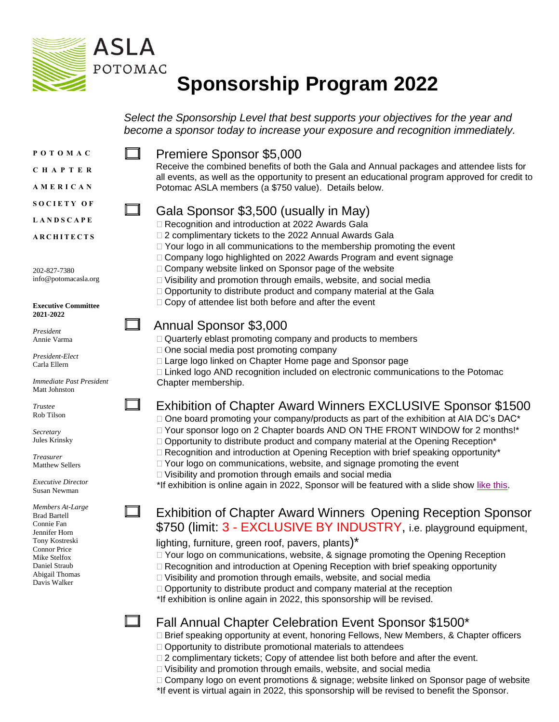

# **Sponsorship Program 2022**

*Select the Sponsorship Level that best supports your objectives for the year and become a sponsor today to increase your exposure and recognition immediately.*

**P O T O M A C**

**C H A P T E R**

**A M E R I C A N**

**L A N D S C A P E**

**A R C H I T E C T S**

202-827-7380 info@potomacasla.org

**Executive Committee 2021-2022**

*President* Annie Varma

*President-Elect* Carla Ellern

*Immediate Past President* Matt Johnston

*Trustee* Rob Tilson

*Secretary* Jules Krinsky

*Treasurer* Matthew Sellers

*Executive Director* Susan Newman

*Members At-Large* Brad Bartell Connie Fan Jennifer Horn Tony Kostreski Connor Price Mike Stelfox Daniel Straub Abigail Thomas Davis Walker

⊓

Premiere Sponsor \$5,000

Receive the combined benefits of both the Gala and Annual packages and attendee lists for all events, as well as the opportunity to present an educational program approved for credit to Potomac ASLA members (a \$750 value). Details below.

## Gala Sponsor \$3,500 (usually in May)

- □ Recognition and introduction at 2022 Awards Gala
- □ 2 complimentary tickets to the 2022 Annual Awards Gala
- $\Box$  Your logo in all communications to the membership promoting the event
- □ Company logo highlighted on 2022 Awards Program and event signage
- $\Box$  Company website linked on Sponsor page of the website
- Visibility and promotion through emails, website, and social media
- $\Box$  Opportunity to distribute product and company material at the Gala
- $\Box$  Copy of attendee list both before and after the event

## Annual Sponsor \$3,000

- $\Box$  Quarterly eblast promoting company and products to members
- $\Box$  One social media post promoting company
	- □ Large logo linked on Chapter Home page and Sponsor page
- $\Box$  Linked logo AND recognition included on electronic communications to the Potomac Chapter membership.

# Exhibition of Chapter Award Winners EXCLUSIVE Sponsor \$1500

 $\Box$  One board promoting your company/products as part of the exhibition at AIA DC's DAC\* □ Your sponsor logo on 2 Chapter boards AND ON THE FRONT WINDOW for 2 months!\*  $\Box$  Opportunity to distribute product and company material at the Opening Reception\*  $\Box$  Recognition and introduction at Opening Reception with brief speaking opportunity\*  $\Box$  Your logo on communications, website, and signage promoting the event □ Visibility and promotion through emails and social media

\*If exhibition is online again in 2022, Sponsor will be featured with a slide show [like this.](https://aiadc.cargo.site/ANOVA)

# Exhibition of Chapter Award Winners Opening Reception Sponsor \$750 (limit: 3 - EXCLUSIVE BY INDUSTRY, i.e. playground equipment,

#### lighting, furniture, green roof, pavers, plants)\*

- $\Box$  Your logo on communications, website, & signage promoting the Opening Reception
- □ Recognition and introduction at Opening Reception with brief speaking opportunity
- $\Box$  Visibility and promotion through emails, website, and social media
- $\Box$  Opportunity to distribute product and company material at the reception
- \*If exhibition is online again in 2022, this sponsorship will be revised.

# Fall Annual Chapter Celebration Event Sponsor \$1500\*

- □ Brief speaking opportunity at event, honoring Fellows, New Members, & Chapter officers  $\Box$  Opportunity to distribute promotional materials to attendees
- $\Box$  2 complimentary tickets; Copy of attendee list both before and after the event.
- $\Box$  Visibility and promotion through emails, website, and social media
- □ Company logo on event promotions & signage; website linked on Sponsor page of website
- \*If event is virtual again in 2022, this sponsorship will be revised to benefit the Sponsor.

**S O C I E T Y O F**